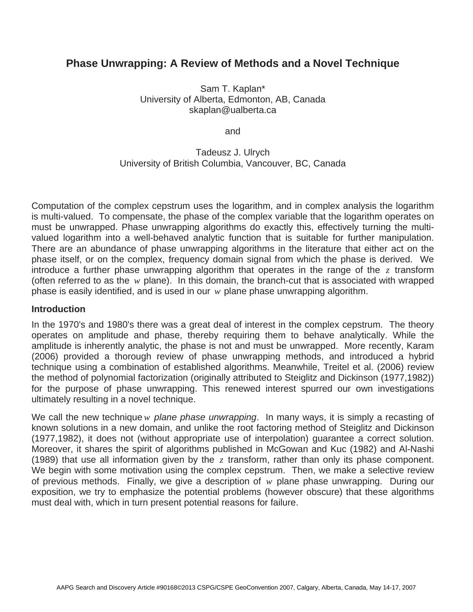# **Phase Unwrapping: A Review of Methods and a Novel Technique**

Sam T. Kaplan\* University of Alberta, Edmonton, AB, Canada skaplan@ualberta.ca

and

#### Tadeusz J. Ulrych University of British Columbia, Vancouver, BC, Canada

Computation of the complex cepstrum uses the logarithm, and in complex analysis the logarithm is multi-valued. To compensate, the phase of the complex variable that the logarithm operates on must be unwrapped. Phase unwrapping algorithms do exactly this, effectively turning the multivalued logarithm into a well-behaved analytic function that is suitable for further manipulation. There are an abundance of phase unwrapping algorithms in the literature that either act on the phase itself, or on the complex, frequency domain signal from which the phase is derived. We introduce a further phase unwrapping algorithm that operates in the range of the *z* transform (often referred to as the *w* plane). In this domain, the branch-cut that is associated with wrapped phase is easily identified, and is used in our *w* plane phase unwrapping algorithm.

#### **Introduction**

In the 1970's and 1980's there was a great deal of interest in the complex cepstrum. The theory operates on amplitude and phase, thereby requiring them to behave analytically. While the amplitude is inherently analytic, the phase is not and must be unwrapped. More recently, Karam (2006) provided a thorough review of phase unwrapping methods, and introduced a hybrid technique using a combination of established algorithms. Meanwhile, Treitel et al. (2006) review the method of polynomial factorization (originally attributed to Steiglitz and Dickinson (1977,1982)) for the purpose of phase unwrapping. This renewed interest spurred our own investigations ultimately resulting in a novel technique.

We call the new technique *w plane phase unwrapping*. In many ways, it is simply a recasting of known solutions in a new domain, and unlike the root factoring method of Steiglitz and Dickinson (1977,1982), it does not (without appropriate use of interpolation) guarantee a correct solution. Moreover, it shares the spirit of algorithms published in McGowan and Kuc (1982) and Al-Nashi (1989) that use all information given by the *z* transform, rather than only its phase component. We begin with some motivation using the complex cepstrum. Then, we make a selective review of previous methods. Finally, we give a description of *w* plane phase unwrapping. During our exposition, we try to emphasize the potential problems (however obscure) that these algorithms must deal with, which in turn present potential reasons for failure.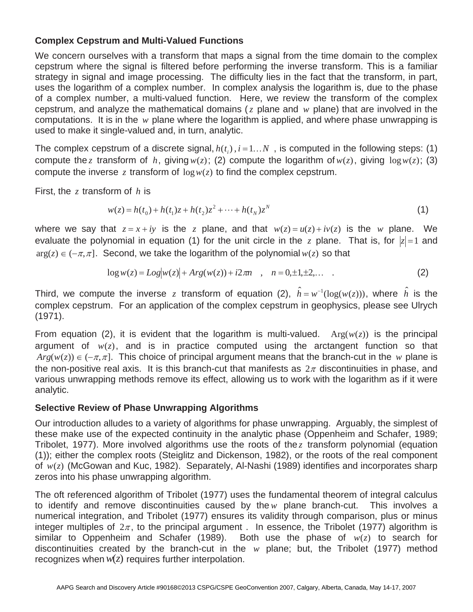## **Complex Cepstrum and Multi-Valued Functions**

We concern ourselves with a transform that maps a signal from the time domain to the complex cepstrum where the signal is filtered before performing the inverse transform. This is a familiar strategy in signal and image processing. The difficulty lies in the fact that the transform, in part, uses the logarithm of a complex number. In complex analysis the logarithm is, due to the phase of a complex number, a multi-valued function. Here, we review the transform of the complex cepstrum, and analyze the mathematical domains (*z* plane and *w* plane) that are involved in the computations. It is in the *w* plane where the logarithm is applied, and where phase unwrapping is used to make it single-valued and, in turn, analytic.

The complex cepstrum of a discrete signal,  $h(t_i)$ ,  $i = 1...N$ , is computed in the following steps: (1)<br>compute the *z* transform of *h*, giving  $v(x)$ : (2) compute the logarithm of  $v(x)$ , giving log $v(x)$ : (3) compute the *z* transform of *h*, giving  $w(z)$ ; (2) compute the logarithm of  $w(z)$ , giving  $\log w(z)$ ; (3) compute the inverse *z* transform of  $\log w(z)$  to find the complex cepstrum.

First, the *z* transform of *h* is

$$
w(z) = h(t_0) + h(t_1)z + h(t_2)z^2 + \dots + h(t_N)z^N
$$
\n(1)

where we say that  $z = x + iy$  is the *z* plane, and that  $w(z) = u(z) + iv(z)$  is the *w* plane. We oveluate the polynomial in equation (1) for the unit circle in the *z* plane. That is for  $|z| = 1$  and evaluate the polynomial in equation (1) for the unit circle in the *z* plane. That is, for  $|z|=1$  and  $\arccos(z) \leq (z-1)$ . Seesand we take the logarithm of the polynomial  $\arccos(z)$  as that  $arg(z) \in (-\pi, \pi]$ . Second, we take the logarithm of the polynomial  $w(z)$  so that

$$
\log w(z) = Log|w(z)| + Arg(w(z)) + i2\pi n \quad , \quad n = 0, \pm 1, \pm 2, \dots \quad .
$$
 (2)

Third, we compute the inverse *z* transform of equation (2),  $\hat{h} = w^{-1}(\log(w(z)))$ , where  $\hat{h}$  is the complex construction of the complex construction in geophysics please see Ultych complex cepstrum. For an application of the complex cepstrum in geophysics, please see Ulrych (1971).

From equation (2), it is evident that the logarithm is multi-valued.  $Arg(w(z))$  is the principal argument of  $w(z)$ , and is in practice computed using the arctangent function so that  $Arg(w(z)) \in (-\pi, \pi]$ . This choice of principal argument means that the branch-cut in the *w* plane is the non-positive real axis. It is this branch-cut that manifests as  $2\pi$  discontinuities in phase, and the non-positive real axis. It is this branch-cut that manifests as  $2\pi$  discontinuities in phase, and<br>various unwrapping methods remove its effect, allowing us to work with the logarithm as if it were analytic.

#### **Selective Review of Phase Unwrapping Algorithms**

Our introduction alludes to a variety of algorithms for phase unwrapping. Arguably, the simplest of these make use of the expected continuity in the analytic phase (Oppenheim and Schafer, 1989; Tribolet, 1977). More involved algorithms use the roots of the *z* transform polynomial (equation (1)); either the complex roots (Steiglitz and Dickenson, 1982), or the roots of the real component of *w*(*z*) (McGowan and Kuc, 1982). Separately, Al-Nashi (1989) identifies and incorporates sharp zeros into his phase unwrapping algorithm.

The oft referenced algorithm of Tribolet (1977) uses the fundamental theorem of integral calculus to identify and remove discontinuities caused by the *w* plane branch-cut. This involves a numerical integration, and Tribolet (1977) ensures its validity through comparison, plus or minus integer multiples of  $2\pi$ , to the principal argument . In essence, the Tribolet (1977) algorithm is similar to Oppenheim and Schafer (1989). Both use the phase of *w*(*z*) to search for discontinuities created by the branch-cut in the *w* plane; but, the Tribolet (1977) method recognizes when  $w(z)$  requires further interpolation.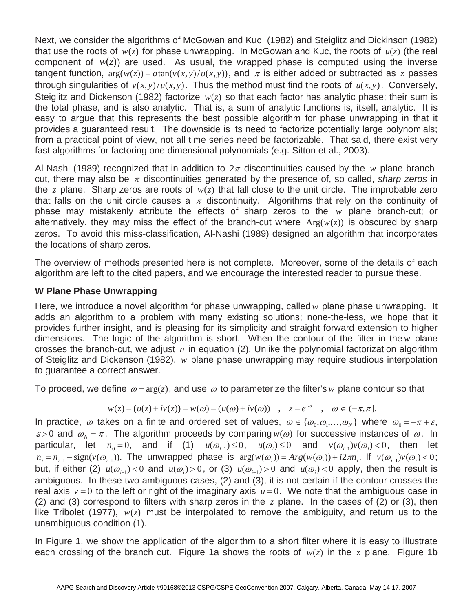Next, we consider the algorithms of McGowan and Kuc (1982) and Steiglitz and Dickinson (1982) that use the roots of  $w(z)$  for phase unwrapping. In McGowan and Kuc, the roots of  $u(z)$  (the real component of  $w(z)$ ) are used. As usual, the wrapped phase is computed using the inverse tangent function,  $arg(w(z)) = a tan(v(x, y)/u(x, y))$ , and  $\pi$  is either added or subtracted as *z* passes through singularities of  $y(x, y)/u(x, y)$ . Thus the method must find the roots of  $y(x, y)$ . Conversely through singularities of  $v(x, y)/u(x, y)$ . Thus the method must find the roots of  $u(x, y)$ . Conversely, Steiglitz and Dickenson (1982) factorize *w*(*z*) so that each factor has analytic phase; their sum is the total phase, and is also analytic. That is, a sum of analytic functions is, itself, analytic. It is easy to argue that this represents the best possible algorithm for phase unwrapping in that it provides a guaranteed result. The downside is its need to factorize potentially large polynomials; from a practical point of view, not all time series need be factorizable. That said, there exist very fast algorithms for factoring one dimensional polynomials (e.g. Sitton et al., 2003).

Al-Nashi (1989) recognized that in addition to  $2\pi$  discontinuities caused by the *w* plane branchcut, there may also be  $\pi$  discontinuities generated by the presence of, so called, *sharp zeros* in the *z* plane. Sharp zeros are roots of *w*(*z*) that fall close to the unit circle. The improbable zero that falls on the unit circle causes a  $\pi$  discontinuity. Algorithms that rely on the continuity of phase may mistakenly attribute the effects of sharp zeros to the *w* plane branch-cut; or alternatively, they may miss the effect of the branch-cut where  $Arg(w(z))$  is obscured by sharp zeros. To avoid this miss-classification, Al-Nashi (1989) designed an algorithm that incorporates the locations of sharp zeros.

The overview of methods presented here is not complete. Moreover, some of the details of each algorithm are left to the cited papers, and we encourage the interested reader to pursue these.

## **W Plane Phase Unwrapping**

Here, we introduce a novel algorithm for phase unwrapping, called *w* plane phase unwrapping. It adds an algorithm to a problem with many existing solutions; none-the-less, we hope that it provides further insight, and is pleasing for its simplicity and straight forward extension to higher dimensions. The logic of the algorithm is short. When the contour of the filter in the *w* plane crosses the branch-cut, we adjust *n* in equation (2). Unlike the polynomial factorization algorithm of Steiglitz and Dickenson (1982), *w* plane phase unwrapping may require studious interpolation to guarantee a correct answer.

To proceed, we define  $\omega = \arg(z)$ , and use  $\omega$  to parameterize the filter's w plane contour so that

$$
w(z) = (u(z) + iv(z)) = w(\omega) = (u(\omega) + iv(\omega)), \quad z = e^{i\omega}, \quad \omega \in (-\pi, \pi].
$$

In practice,  $\omega$  takes on a finite and ordered set of values,  $\omega \in {\{\omega_0, \omega_1, ..., \omega_N\}}$  where  $\omega_0 = -\pi + \varepsilon$ ,<br>  $\omega > 0$  and  $\omega_0 = \pi$ . The algorithm proceeds by comparing  $y(\omega)$  for successive instances of  $\omega$ . In  $\varepsilon > 0$  and  $\omega_N = \pi$ . The algorithm proceeds by comparing  $w(\omega)$  for successive instances of  $\omega$ . In particular, let  $n = 0$  and if (1)  $y(\omega) \le 0$  and  $y(\omega) \le 0$  and  $y(\omega) \le 0$  then let particular, let  $n_0 = 0$ , and if (1)  $u(\omega_{i-1}) \le 0$ ,  $u(\omega_i) \le 0$  and  $v(\omega_{i-1})v(\omega_i) < 0$ , then let  $n = n$  sign(*v*(*a*))). The unwrapped phase is  $arg(w(\omega)) = Arg(w(\omega)) + i2\pi n$ , if  $y(\omega) > 0$ ;  $n_i = n_{i-1} - \text{sign}(v(\omega_{i-1}))$ . The unwrapped phase is  $\arg(w(\omega_i)) = \text{Arg}(w(\omega_i)) + i2\pi n_i$ . If  $v(\omega_{i-1})v(\omega_i) < 0$ ;<br>and if other (2)  $v(\omega_{i-1}) < 0$  and  $v(\omega_{i-1}) > 0$  and  $v(\omega_{i-1}) > 0$  and  $v(\omega_{i-1}) < 0$  angly then the result is but, if either (2)  $u(\omega_{i-1}) < 0$  and  $u(\omega_i) > 0$ , or (3)  $u(\omega_{i-1}) > 0$  and  $u(\omega_i) < 0$  apply, then the result is applyied to the result is applying the contour crosses the ambiguous. In these two ambiguous cases, (2) and (3), it is not certain if the contour crosses the real axis  $v = 0$  to the left or right of the imaginary axis  $u = 0$ . We note that the ambiguous case in (2) correspond to filters with sharp zeros in the z plane. In the cases of (2) or (3) then (2) and (3) correspond to filters with sharp zeros in the *z* plane. In the cases of (2) or (3), then like Tribolet (1977), *w*(*z*) must be interpolated to remove the ambiguity, and return us to the unambiguous condition (1).

In Figure 1, we show the application of the algorithm to a short filter where it is easy to illustrate each crossing of the branch cut. Figure 1a shows the roots of  $w(z)$  in the z plane. Figure 1b